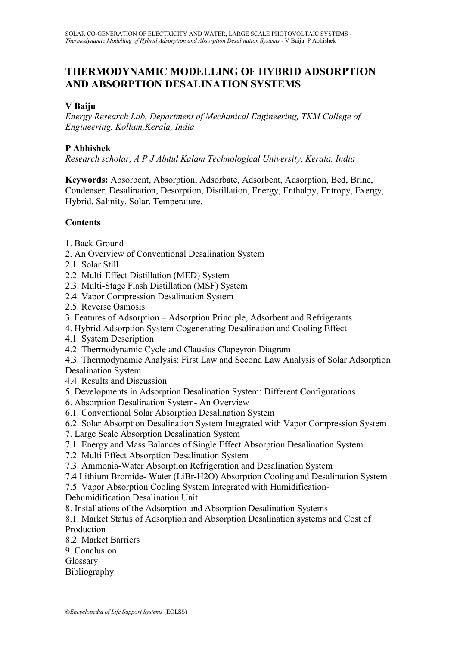# **THERMODYNAMIC MODELLING OF HYBRID ADSORPTION AND ABSORPTION DESALINATION SYSTEMS**

#### **V Baiju**

*Energy Research Lab, Department of Mechanical Engineering, TKM College of Engineering, Kollam,Kerala, India*

#### **P Abhishek**

*Research scholar, A P J Abdul Kalam Technological University, Kerala, India*

**Keywords:** Absorbent, Absorption, Adsorbate, Adsorbent, Adsorption, Bed, Brine, Condenser, Desalination, Desorption, Distillation, Energy, Enthalpy, Entropy, Exergy, Hybrid, Salinity, Solar, Temperature.

# **Contents**

- 1. Back Ground
- 2. An Overview of Conventional Desalination System
- 2.1. Solar Still
- 2.2. Multi-Effect Distillation (MED) System
- 2.3. Multi-Stage Flash Distillation (MSF) System
- 2.4. Vapor Compression Desalination System
- 2.5. Reverse Osmosis
- 3. Features of Adsorption Adsorption Principle, Adsorbent and Refrigerants
- 4. Hybrid Adsorption System Cogenerating Desalination and Cooling Effect
- 4.1. System Description
- 4.2. Thermodynamic Cycle and Clausius Clapeyron Diagram

4.3. Thermodynamic Analysis: First Law and Second Law Analysis of Solar Adsorption Desalination System

4.4. Results and Discussion

- 5. Developments in Adsorption Desalination System: Different Configurations
- 6. Absorption Desalination System- An Overview
- 6.1. Conventional Solar Absorption Desalination System

6.2. Solar Absorption Desalination System Integrated with Vapor Compression System

- 7. Large Scale Absorption Desalination System
- 7.1. Energy and Mass Balances of Single Effect Absorption Desalination System
- 7.2. Multi Effect Absorption Desalination System
- 7.3. Ammonia-Water Absorption Refrigeration and Desalination System
- 7.4 Lithium Bromide- Water (LiBr-H2O) Absorption Cooling and Desalination System

7.5. Vapor Absorption Cooling System Integrated with Humidification-

Dehumidification Desalination Unit.

8. Installations of the Adsorption and Absorption Desalination Systems

8.1. Market Status of Adsorption and Absorption Desalination systems and Cost of Production

8.2. Market Barriers

9. Conclusion

Glossary

Bibliography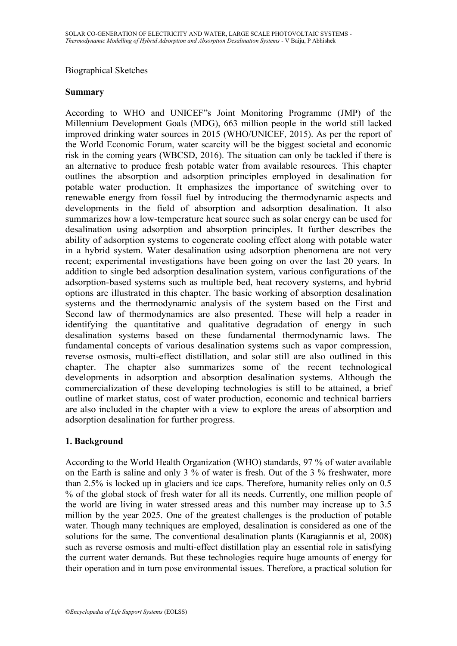#### Biographical Sketches

#### **Summary**

According to WHO and UNICEF"s Joint Monitoring Programme (JMP) of the Millennium Development Goals (MDG), 663 million people in the world still lacked improved drinking water sources in 2015 (WHO/UNICEF, 2015). As per the report of the World Economic Forum, water scarcity will be the biggest societal and economic risk in the coming years (WBCSD, 2016). The situation can only be tackled if there is an alternative to produce fresh potable water from available resources. This chapter outlines the absorption and adsorption principles employed in desalination for potable water production. It emphasizes the importance of switching over to renewable energy from fossil fuel by introducing the thermodynamic aspects and developments in the field of absorption and adsorption desalination. It also summarizes how a low-temperature heat source such as solar energy can be used for desalination using adsorption and absorption principles. It further describes the ability of adsorption systems to cogenerate cooling effect along with potable water in a hybrid system. Water desalination using adsorption phenomena are not very recent; experimental investigations have been going on over the last 20 years. In addition to single bed adsorption desalination system, various configurations of the adsorption-based systems such as multiple bed, heat recovery systems, and hybrid options are illustrated in this chapter. The basic working of absorption desalination systems and the thermodynamic analysis of the system based on the First and Second law of thermodynamics are also presented. These will help a reader in identifying the quantitative and qualitative degradation of energy in such desalination systems based on these fundamental thermodynamic laws. The fundamental concepts of various desalination systems such as vapor compression, reverse osmosis, multi-effect distillation, and solar still are also outlined in this chapter. The chapter also summarizes some of the recent technological developments in adsorption and absorption desalination systems. Although the commercialization of these developing technologies is still to be attained, a brief outline of market status, cost of water production, economic and technical barriers are also included in the chapter with a view to explore the areas of absorption and adsorption desalination for further progress.

#### **1. Background**

According to the World Health Organization (WHO) standards, 97 % of water available on the Earth is saline and only 3 % of water is fresh. Out of the 3 % freshwater, more than 2.5% is locked up in glaciers and ice caps. Therefore, humanity relies only on 0.5 % of the global stock of fresh water for all its needs. Currently, one million people of the world are living in water stressed areas and this number may increase up to 3.5 million by the year 2025. One of the greatest challenges is the production of potable water. Though many techniques are employed, desalination is considered as one of the solutions for the same. The conventional desalination plants (Karagiannis et al, 2008) such as reverse osmosis and multi-effect distillation play an essential role in satisfying the current water demands. But these technologies require huge amounts of energy for their operation and in turn pose environmental issues. Therefore, a practical solution for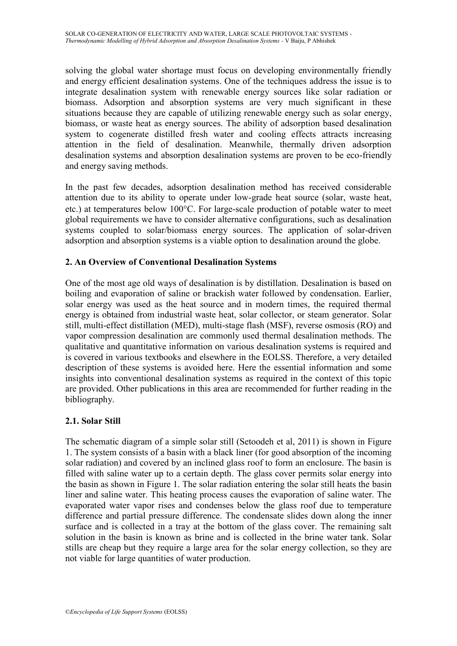solving the global water shortage must focus on developing environmentally friendly and energy efficient desalination systems. One of the techniques address the issue is to integrate desalination system with renewable energy sources like solar radiation or biomass. Adsorption and absorption systems are very much significant in these situations because they are capable of utilizing renewable energy such as solar energy, biomass, or waste heat as energy sources. The ability of adsorption based desalination system to cogenerate distilled fresh water and cooling effects attracts increasing attention in the field of desalination. Meanwhile, thermally driven adsorption desalination systems and absorption desalination systems are proven to be eco-friendly and energy saving methods.

In the past few decades, adsorption desalination method has received considerable attention due to its ability to operate under low-grade heat source (solar, waste heat, etc.) at temperatures below  $100^{\circ}$ C. For large-scale production of potable water to meet global requirements we have to consider alternative configurations, such as desalination systems coupled to solar/biomass energy sources. The application of solar-driven adsorption and absorption systems is a viable option to desalination around the globe.

# **2. An Overview of Conventional Desalination Systems**

One of the most age old ways of desalination is by distillation. Desalination is based on boiling and evaporation of saline or brackish water followed by condensation. Earlier, solar energy was used as the heat source and in modern times, the required thermal energy is obtained from industrial waste heat, solar collector, or steam generator. Solar still, multi-effect distillation (MED), multi-stage flash (MSF), reverse osmosis (RO) and vapor compression desalination are commonly used thermal desalination methods. The qualitative and quantitative information on various desalination systems is required and is covered in various textbooks and elsewhere in the EOLSS. Therefore, a very detailed description of these systems is avoided here. Here the essential information and some insights into conventional desalination systems as required in the context of this topic are provided. Other publications in this area are recommended for further reading in the bibliography.

# **2.1. Solar Still**

The schematic diagram of a simple solar still (Setoodeh et al, 2011) is shown in Figure 1. The system consists of a basin with a black liner (for good absorption of the incoming solar radiation) and covered by an inclined glass roof to form an enclosure. The basin is filled with saline water up to a certain depth. The glass cover permits solar energy into the basin as shown in Figure 1. The solar radiation entering the solar still heats the basin liner and saline water. This heating process causes the evaporation of saline water. The evaporated water vapor rises and condenses below the glass roof due to temperature difference and partial pressure difference. The condensate slides down along the inner surface and is collected in a tray at the bottom of the glass cover. The remaining salt solution in the basin is known as brine and is collected in the brine water tank. Solar stills are cheap but they require a large area for the solar energy collection, so they are not viable for large quantities of water production.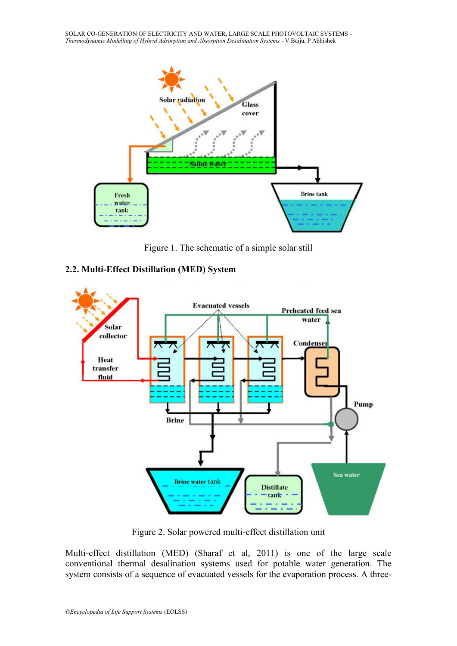SOLAR CO-GENERATION OF ELECTRICITY AND WATER, LARGE SCALE PHOTOVOLTAIC SYSTEMS - *Thermodynamic Modelling of Hybrid Adsorption and Absorption Desalination Systems -* V Baiju, P Abhishek



Figure 1. The schematic of a simple solar still





Figure 2. Solar powered multi-effect distillation unit

Multi-effect distillation (MED) (Sharaf et al, 2011) is one of the large scale conventional thermal desalination systems used for potable water generation. The system consists of a sequence of evacuated vessels for the evaporation process. A three-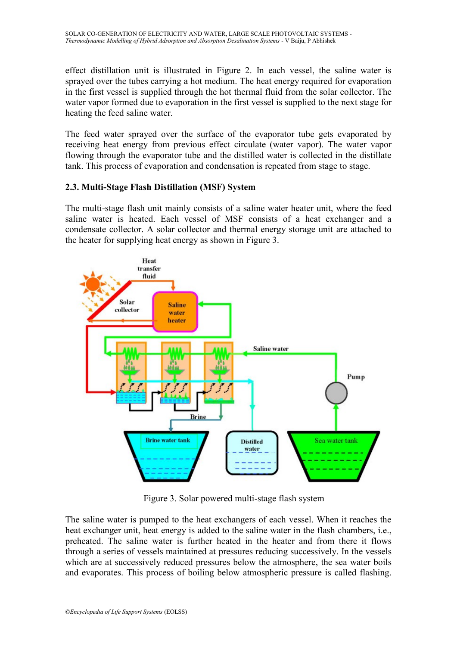effect distillation unit is illustrated in Figure 2. In each vessel, the saline water is sprayed over the tubes carrying a hot medium. The heat energy required for evaporation in the first vessel is supplied through the hot thermal fluid from the solar collector. The water vapor formed due to evaporation in the first vessel is supplied to the next stage for heating the feed saline water.

The feed water sprayed over the surface of the evaporator tube gets evaporated by receiving heat energy from previous effect circulate (water vapor). The water vapor flowing through the evaporator tube and the distilled water is collected in the distillate tank. This process of evaporation and condensation is repeated from stage to stage.

# **2.3. Multi-Stage Flash Distillation (MSF) System**

The multi-stage flash unit mainly consists of a saline water heater unit, where the feed saline water is heated. Each vessel of MSF consists of a heat exchanger and a condensate collector. A solar collector and thermal energy storage unit are attached to the heater for supplying heat energy as shown in Figure 3.



Figure 3. Solar powered multi-stage flash system

The saline water is pumped to the heat exchangers of each vessel. When it reaches the heat exchanger unit, heat energy is added to the saline water in the flash chambers, i.e., preheated. The saline water is further heated in the heater and from there it flows through a series of vessels maintained at pressures reducing successively. In the vessels which are at successively reduced pressures below the atmosphere, the sea water boils and evaporates. This process of boiling below atmospheric pressure is called flashing.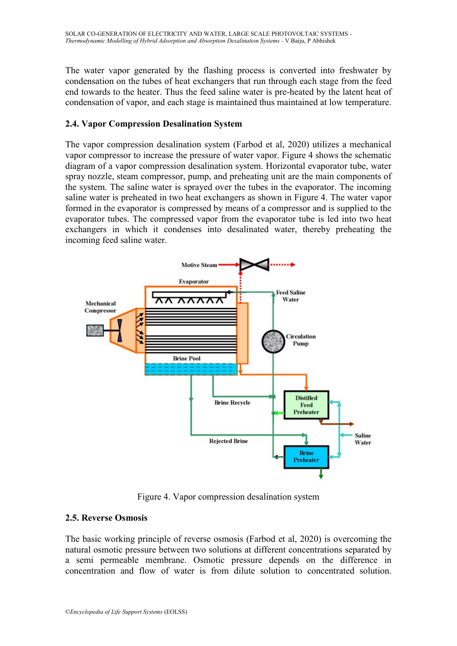The water vapor generated by the flashing process is converted into freshwater by condensation on the tubes of heat exchangers that run through each stage from the feed end towards to the heater. Thus the feed saline water is pre-heated by the latent heat of condensation of vapor, and each stage is maintained thus maintained at low temperature.

# **2.4. Vapor Compression Desalination System**

The vapor compression desalination system (Farbod et al, 2020) utilizes a mechanical vapor compressor to increase the pressure of water vapor. Figure 4 shows the schematic diagram of a vapor compression desalination system. Horizontal evaporator tube, water spray nozzle, steam compressor, pump, and preheating unit are the main components of the system. The saline water is sprayed over the tubes in the evaporator. The incoming saline water is preheated in two heat exchangers as shown in Figure 4. The water vapor formed in the evaporator is compressed by means of a compressor and is supplied to the evaporator tubes. The compressed vapor from the evaporator tube is led into two heat exchangers in which it condenses into desalinated water, thereby preheating the incoming feed saline water.



Figure 4. Vapor compression desalination system

# **2.5. Reverse Osmosis**

The basic working principle of reverse osmosis (Farbod et al, 2020) is overcoming the natural osmotic pressure between two solutions at different concentrations separated by a semi permeable membrane. Osmotic pressure depends on the difference in concentration and flow of water is from dilute solution to concentrated solution.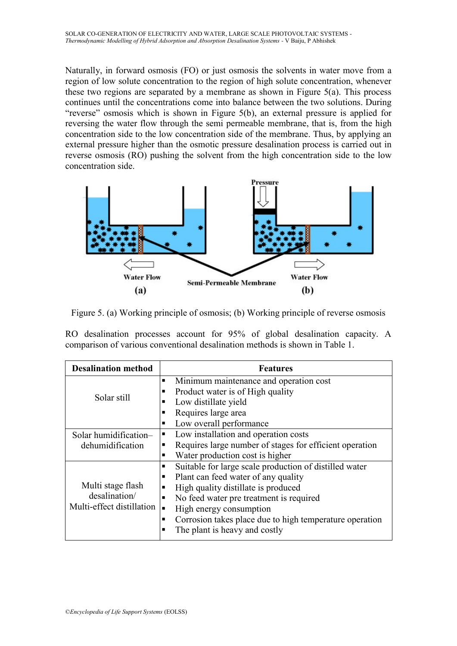Naturally, in forward osmosis (FO) or just osmosis the solvents in water move from a region of low solute concentration to the region of high solute concentration, whenever these two regions are separated by a membrane as shown in Figure 5(a). This process continues until the concentrations come into balance between the two solutions. During "reverse" osmosis which is shown in Figure 5(b), an external pressure is applied for reversing the water flow through the semi permeable membrane, that is, from the high concentration side to the low concentration side of the membrane. Thus, by applying an external pressure higher than the osmotic pressure desalination process is carried out in reverse osmosis (RO) pushing the solvent from the high concentration side to the low concentration side.



Figure 5. (a) Working principle of osmosis; (b) Working principle of reverse osmosis

RO desalination processes account for 95% of global desalination capacity. A comparison of various conventional desalination methods is shown in Table 1.

| <b>Desalination method</b>                                      | <b>Features</b>                                              |  |  |  |
|-----------------------------------------------------------------|--------------------------------------------------------------|--|--|--|
|                                                                 | Minimum maintenance and operation cost                       |  |  |  |
|                                                                 | Product water is of High quality<br>п                        |  |  |  |
| Solar still                                                     | Low distillate yield<br>п                                    |  |  |  |
|                                                                 | Requires large area<br>п                                     |  |  |  |
|                                                                 | Low overall performance<br>п                                 |  |  |  |
| Solar humidification-                                           | Low installation and operation costs<br>п                    |  |  |  |
| dehumidification                                                | Requires large number of stages for efficient operation<br>п |  |  |  |
|                                                                 | Water production cost is higher<br>п                         |  |  |  |
| Multi stage flash<br>desalination/<br>Multi-effect distillation | Suitable for large scale production of distilled water<br>п  |  |  |  |
|                                                                 | Plant can feed water of any quality<br>п                     |  |  |  |
|                                                                 | High quality distillate is produced                          |  |  |  |
|                                                                 | No feed water pre treatment is required                      |  |  |  |
|                                                                 | High energy consumption                                      |  |  |  |
|                                                                 | Corrosion takes place due to high temperature operation<br>п |  |  |  |
|                                                                 | The plant is heavy and costly<br>п                           |  |  |  |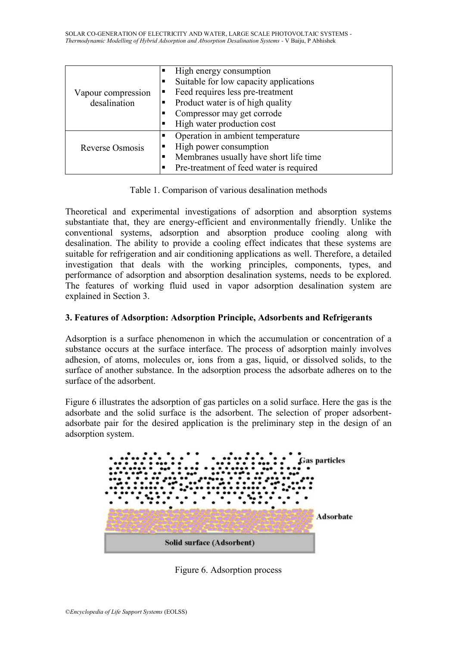| п<br>Vapour compression<br>desalination<br>п<br>п |  | High energy consumption<br>Suitable for low capacity applications<br>Feed requires less pre-treatment<br>Product water is of high quality<br>Compressor may get corrode<br>High water production cost |  |
|---------------------------------------------------|--|-------------------------------------------------------------------------------------------------------------------------------------------------------------------------------------------------------|--|
| п<br>Reverse Osmosis                              |  | Operation in ambient temperature<br>High power consumption<br>Membranes usually have short life time<br>Pre-treatment of feed water is required                                                       |  |

Table 1. Comparison of various desalination methods

Theoretical and experimental investigations of adsorption and absorption systems substantiate that, they are energy-efficient and environmentally friendly. Unlike the conventional systems, adsorption and absorption produce cooling along with desalination. The ability to provide a cooling effect indicates that these systems are suitable for refrigeration and air conditioning applications as well. Therefore, a detailed investigation that deals with the working principles, components, types, and performance of adsorption and absorption desalination systems, needs to be explored. The features of working fluid used in vapor adsorption desalination system are explained in Section 3.

# **3. Features of Adsorption: Adsorption Principle, Adsorbents and Refrigerants**

Adsorption is a surface phenomenon in which the accumulation or concentration of a substance occurs at the surface interface. The process of adsorption mainly involves adhesion, of atoms, molecules or, ions from a gas, liquid, or dissolved solids, to the surface of another substance. In the adsorption process the adsorbate adheres on to the surface of the adsorbent.

Figure 6 illustrates the adsorption of gas particles on a solid surface. Here the gas is the adsorbate and the solid surface is the adsorbent. The selection of proper adsorbentadsorbate pair for the desired application is the preliminary step in the design of an adsorption system.



Figure 6. Adsorption process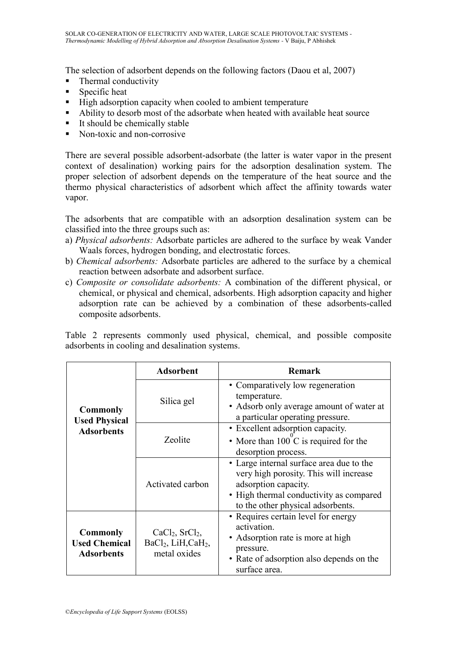The selection of adsorbent depends on the following factors (Daou et al, 2007)

- Thermal conductivity
- Specific heat
- High adsorption capacity when cooled to ambient temperature
- Ability to desorb most of the adsorbate when heated with available heat source
- $\blacksquare$  It should be chemically stable
- Non-toxic and non-corrosive

There are several possible adsorbent-adsorbate (the latter is water vapor in the present context of desalination) working pairs for the adsorption desalination system. The proper selection of adsorbent depends on the temperature of the heat source and the thermo physical characteristics of adsorbent which affect the affinity towards water vapor.

The adsorbents that are compatible with an adsorption desalination system can be classified into the three groups such as:

- a) *Physical adsorbents:* Adsorbate particles are adhered to the surface by weak Vander Waals forces, hydrogen bonding, and electrostatic forces.
- b) *Chemical adsorbents:* Adsorbate particles are adhered to the surface by a chemical reaction between adsorbate and adsorbent surface.
- c) *Composite or consolidate adsorbents:* A combination of the different physical, or chemical, or physical and chemical, adsorbents. High adsorption capacity and higher adsorption rate can be achieved by a combination of these adsorbents-called composite adsorbents.

Table 2 represents commonly used physical, chemical, and possible composite adsorbents in cooling and desalination systems.

|                                                              | <b>Adsorbent</b>                                                                             | <b>Remark</b>                                                                                                                                                                              |  |
|--------------------------------------------------------------|----------------------------------------------------------------------------------------------|--------------------------------------------------------------------------------------------------------------------------------------------------------------------------------------------|--|
| <b>Commonly</b><br><b>Used Physical</b><br><b>Adsorbents</b> | Silica gel                                                                                   | • Comparatively low regeneration<br>temperature.<br>• Adsorb only average amount of water at<br>a particular operating pressure.                                                           |  |
|                                                              | Zeolite                                                                                      | • Excellent adsorption capacity.<br>• More than $100^{\circ}$ C is required for the<br>desorption process.                                                                                 |  |
|                                                              | Activated carbon                                                                             | • Large internal surface area due to the<br>very high porosity. This will increase<br>adsorption capacity.<br>• High thermal conductivity as compared<br>to the other physical adsorbents. |  |
| <b>Commonly</b><br><b>Used Chemical</b><br><b>Adsorbents</b> | CaCl <sub>2</sub> , SrCl <sub>2</sub> ,<br>$BaCl2$ , LiH, CaH <sub>2</sub> ,<br>metal oxides | • Requires certain level for energy<br>activation.<br>• Adsorption rate is more at high<br>pressure.<br>• Rate of adsorption also depends on the<br>surface area.                          |  |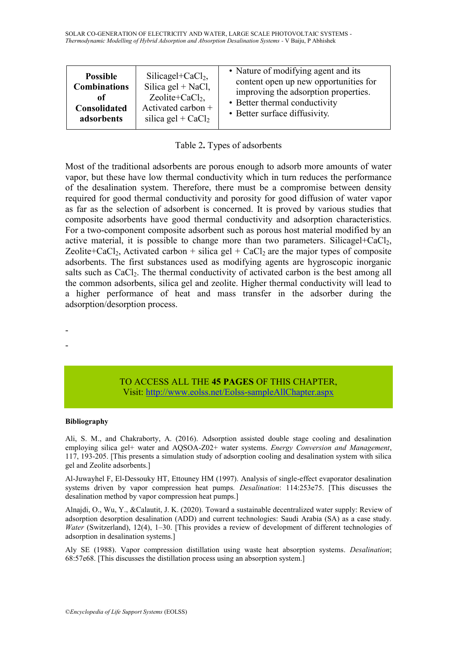SOLAR CO-GENERATION OF ELECTRICITY AND WATER, LARGE SCALE PHOTOVOLTAIC SYSTEMS - *Thermodynamic Modelling of Hybrid Adsorption and Absorption Desalination Systems -* V Baiju, P Abhishek

| <b>Possible</b>     | Silicagel+Ca $Cl2$ ,        | • Nature of modifying agent and its   |
|---------------------|-----------------------------|---------------------------------------|
| <b>Combinations</b> | Silica gel + NaCl,          | content open up new opportunities for |
| оf                  | Zeolite+CaCl <sub>2</sub> , | improving the adsorption properties.  |
| Consolidated        | Activated carbon +          | • Better thermal conductivity         |
| adsorbents          | silica gel + $CaCl2$        | • Better surface diffusivity.         |

|  |  | Table 2. Types of adsorbents |
|--|--|------------------------------|
|--|--|------------------------------|

Most of the traditional adsorbents are porous enough to adsorb more amounts of water vapor, but these have low thermal conductivity which in turn reduces the performance of the desalination system. Therefore, there must be a compromise between density required for good thermal conductivity and porosity for good diffusion of water vapor as far as the selection of adsorbent is concerned. It is proved by various studies that composite adsorbents have good thermal conductivity and adsorption characteristics. For a two-component composite adsorbent such as porous host material modified by an active material, it is possible to change more than two parameters. Silicagel+CaCl<sub>2</sub>, Zeolite+CaCl<sub>2</sub>, Activated carbon + silica gel + CaCl<sub>2</sub> are the major types of composite adsorbents. The first substances used as modifying agents are hygroscopic inorganic salts such as CaCl<sub>2</sub>. The thermal conductivity of activated carbon is the best among all the common adsorbents, silica gel and zeolite. Higher thermal conductivity will lead to a higher performance of heat and mass transfer in the adsorber during the adsorption/desorption process.

> TO ACCESS ALL THE **45 PAGES** OF THIS CHAPTER, Vis[it: http://www.eolss.net/Eolss-sampleAllChapter.aspx](https://www.eolss.net/ebooklib/sc_cart.aspx?File=E6-107-18)

#### **Bibliography**

- -

Ali, S. M., and Chakraborty, A. (2016). Adsorption assisted double stage cooling and desalination employing silica gel+ water and AQSOA-Z02+ water systems. *Energy Conversion and Management*, 117, 193-205. [This presents a simulation study of adsorption cooling and desalination system with silica gel and Zeolite adsorbents.]

Al-Juwayhel F, El-Dessouky HT, Ettouney HM (1997). Analysis of single-effect evaporator desalination systems driven by vapor compression heat pumps*. Desalination*: 114:253e75. [This discusses the desalination method by vapor compression heat pumps.]

Alnajdi, O., Wu, Y., &Calautit, J. K. (2020). Toward a sustainable decentralized water supply: Review of adsorption desorption desalination (ADD) and current technologies: Saudi Arabia (SA) as a case study. *Water* (Switzerland), 12(4), 1–30. [This provides a review of development of different technologies of adsorption in desalination systems.]

Aly SE (1988). Vapor compression distillation using waste heat absorption systems. *Desalination*; 68:57e68. [This discusses the distillation process using an absorption system.]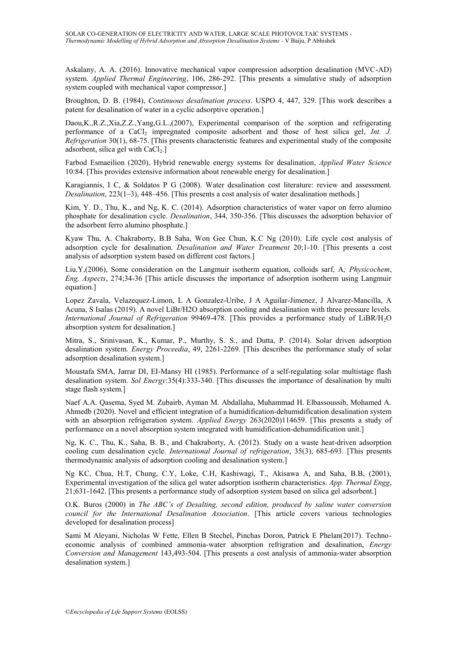Askalany, A. A. (2016). Innovative mechanical vapor compression adsorption desalination (MVC-AD) system. *Applied Thermal Engineering*, 106, 286-292. [This presents a simulative study of adsorption system coupled with mechanical vapor compressor.]

Broughton, D. B. (1984), *Continuous desalination process*. USPO 4, 447, 329. [This work describes a patent for desalination of water in a cyclic adsorptive operation.]

Daou,K.,R.Z.,Xia,Z.Z.,Yang,G.L.,(2007), Experimental comparison of the sorption and refrigerating performance of a CaCl<sub>2</sub> impregnated composite adsorbent and those of host silica gel, *Int. J. Refrigeration* 30(1), 68-75. [This presents characteristic features and experimental study of the composite adsorbent, silica gel with  $CaCl<sub>2</sub>$ .]

Farbod Esmaeilion (2020), Hybrid renewable energy systems for desalination, *Applied Water Science* 10:84. [This provides extensive information about renewable energy for desalination.]

Karagiannis, I C, & Soldatos P G (2008). Water desalination cost literature: review and assessment. *Desalination*, 223(1–3), 448–456. [This presents a cost analysis of water desalination methods.]

Kim, Y. D., Thu, K., and Ng, K. C. (2014). Adsorption characteristics of water vapor on ferro alumino phosphate for desalination cycle. *Desalination*, 344, 350-356. [This discusses the adsorption behavior of the adsorbent ferro alumino phosphate.]

Kyaw Thu, A. Chakraborty, B.B Saha, Won Gee Chun, K.C Ng (2010). Life cycle cost analysis of adsorption cycle for desalination. *Desalination and Water Treatment* 20;1-10. [This presents a cost analysis of adsorption system based on different cost factors.]

Liu.Y,(2006), Some consideration on the Langmuir isotherm equation, colloids sarf, A*; Physicochem*, *Eng, Aspects*, 274;34-36 [This article discusses the importance of adsorption isotherm using Langmuir equation.]

Lopez Zavala, Velazequez-Limon, L A Gonzalez-Uribe, J A Aguilar-Jimenez, J Alvarez-Mancilla, A Acuna, S Isalas (2019). A novel LiBr/H2O absorption cooling and desalination with three pressure levels. *International Journal of Refrigeration* 99469-478. [This provides a performance study of LiBR/H2O absorption system for desalination.]

Mitra, S., Srinivasan, K., Kumar, P., Murthy, S. S., and Dutta, P. (2014). Solar driven adsorption desalination system*. Energy Proceedia*, 49, 2261-2269. [This describes the performance study of solar adsorption desalination system.]

Moustafa SMA, Jarrar DI, EI-Mansy HI (1985). Performance of a self-regulating solar multistage flash desalination system. *Sol Energy*:35(4):333-340. [This discusses the importance of desalination by multi stage flash system.]

Naef A.A. Qasema, Syed M. Zubairb, Ayman M. Abdallaha, Muhammad H. Elbassoussib, Mohamed A. Ahmedb (2020). Novel and efficient integration of a humidification-dehumidification desalination system with an absorption refrigeration system. *Applied Energy* 263(2020)114659. [This presents a study of performance on a novel absorption system integrated with humidification-dehumidification unit.]

Ng, K. C., Thu, K., Saha, B. B., and Chakraborty, A. (2012). Study on a waste heat-driven adsorption cooling cum desalination cycle. *International Journal of refrigeration*, 35(3), 685-693. [This presents thermodynamic analysis of adsorption cooling and desalination system.]

Ng KC, Chua, H.T, Chung, C.Y, Loke, C.H, Kashiwagi, T., Akisawa A, and Saha, B.B, (2001), Experimental investigation of the silica gel water adsorption isotherm characteristics. *App. Thermal Engg*, 21;631-1642. [This presents a performance study of adsorption system based on silica gel adsorbent.]

O.K. Buros (2000) in *The ABC's of Desalting, second edition, produced by saline water conversion council for the International Desalination Association*. [This article covers various technologies developed for desalination process]

Sami M Aleyani, Nicholas W Fette, Ellen B Stechel, Pinchas Doron, Patrick E Phelan(2017). Technoeconomic analysis of combined ammonia-water absorption refrigration and desalination, *Energy Conversion and Management* 143,493-504. [This presents a cost analysis of ammonia-water absorption desalination system.]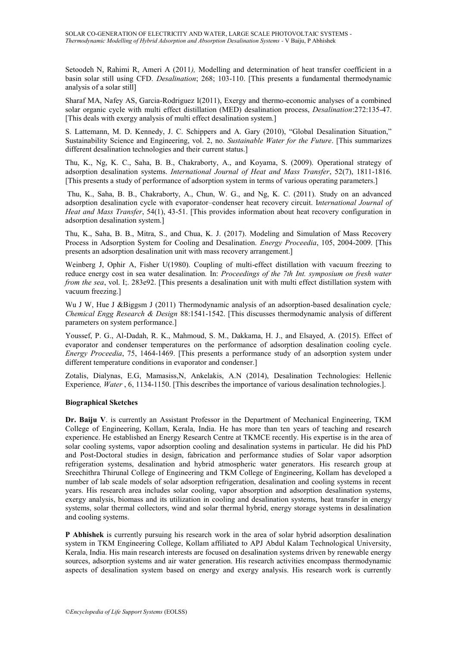Setoodeh N, Rahimi R, Ameri A (2011*),* Modelling and determination of heat transfer coefficient in a basin solar still using CFD. *Desalination*; 268; 103-110. [This presents a fundamental thermodynamic analysis of a solar still]

Sharaf MA, Nafey AS, Garcia-Rodriguez I(2011), Exergy and thermo-economic analyses of a combined solar organic cycle with multi effect distillation (MED) desalination process, *Desalination*:272:135-47. [This deals with exergy analysis of multi effect desalination system.]

S. Lattemann, M. D. Kennedy, J. C. Schippers and A. Gary (2010), "Global Desalination Situation," Sustainability Science and Engineering, vol. 2, no. *Sustainable Water for the Future*. [This summarizes different desalination technologies and their current status.]

Thu, K., Ng, K. C., Saha, B. B., Chakraborty, A., and Koyama, S. (2009). Operational strategy of adsorption desalination systems. *International Journal of Heat and Mass Transfer*, 52(7), 1811-1816. [This presents a study of performance of adsorption system in terms of various operating parameters.]

Thu, K., Saha, B. B., Chakraborty, A., Chun, W. G., and Ng, K. C. (2011). Study on an advanced adsorption desalination cycle with evaporator–condenser heat recovery circuit. I*nternational Journal of Heat and Mass Transfer*, 54(1), 43-51. [This provides information about heat recovery configuration in adsorption desalination system.]

Thu, K., Saha, B. B., Mitra, S., and Chua, K. J. (2017). Modeling and Simulation of Mass Recovery Process in Adsorption System for Cooling and Desalination. *Energy Proceedia*, 105, 2004-2009. [This presents an adsorption desalination unit with mass recovery arrangement.]

Weinberg J, Ophir A, Fisher U(1980). Coupling of multi-effect distillation with vacuum freezing to reduce energy cost in sea water desalination*.* In: *Proceedings of the 7th Int. symposium on fresh water from the sea*, vol. I;. 283e92. [This presents a desalination unit with multi effect distillation system with vacuum freezing.]

Wu J W, Hue J &Biggsm J (2011) Thermodynamic analysis of an adsorption-based desalination cycle*; Chemical Engg Research & Design* 88:1541-1542. [This discusses thermodynamic analysis of different parameters on system performance.]

Youssef, P. G., Al-Dadah, R. K., Mahmoud, S. M., Dakkama, H. J., and Elsayed, A. (2015). Effect of evaporator and condenser temperatures on the performance of adsorption desalination cooling cycle. *Energy Proceedia*, 75, 1464-1469. [This presents a performance study of an adsorption system under different temperature conditions in evaporator and condenser.]

Zotalis, Dialynas, E.G, Mamasiss,N, Ankelakis, A.N (2014), Desalination Technologies: Hellenic Experience*, Water* , 6, 1134-1150. [This describes the importance of various desalination technologies.].

#### **Biographical Sketches**

**Dr. Baiju V**. is currently an Assistant Professor in the Department of Mechanical Engineering, TKM College of Engineering, Kollam, Kerala, India. He has more than ten years of teaching and research experience. He established an Energy Research Centre at TKMCE recently. His expertise is in the area of solar cooling systems, vapor adsorption cooling and desalination systems in particular. He did his PhD and Post-Doctoral studies in design, fabrication and performance studies of Solar vapor adsorption refrigeration systems, desalination and hybrid atmospheric water generators. His research group at Sreechithra Thirunal College of Engineering and TKM College of Engineering, Kollam has developed a number of lab scale models of solar adsorption refrigeration, desalination and cooling systems in recent years. His research area includes solar cooling, vapor absorption and adsorption desalination systems, exergy analysis, biomass and its utilization in cooling and desalination systems, heat transfer in energy systems, solar thermal collectors, wind and solar thermal hybrid, energy storage systems in desalination and cooling systems.

**P Abhishek** is currently pursuing his research work in the area of solar hybrid adsorption desalination system in TKM Engineering College, Kollam affiliated to APJ Abdul Kalam Technological University, Kerala, India. His main research interests are focused on desalination systems driven by renewable energy sources, adsorption systems and air water generation. His research activities encompass thermodynamic aspects of desalination system based on energy and exergy analysis. His research work is currently